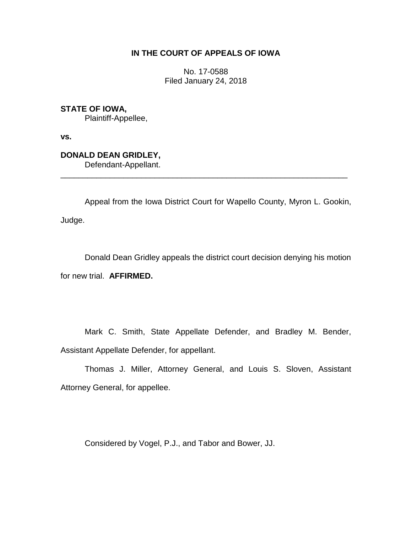# **IN THE COURT OF APPEALS OF IOWA**

No. 17-0588 Filed January 24, 2018

**STATE OF IOWA,** Plaintiff-Appellee,

**vs.**

**DONALD DEAN GRIDLEY,** Defendant-Appellant.

Appeal from the Iowa District Court for Wapello County, Myron L. Gookin, Judge.

\_\_\_\_\_\_\_\_\_\_\_\_\_\_\_\_\_\_\_\_\_\_\_\_\_\_\_\_\_\_\_\_\_\_\_\_\_\_\_\_\_\_\_\_\_\_\_\_\_\_\_\_\_\_\_\_\_\_\_\_\_\_\_\_

Donald Dean Gridley appeals the district court decision denying his motion for new trial. **AFFIRMED.**

Mark C. Smith, State Appellate Defender, and Bradley M. Bender, Assistant Appellate Defender, for appellant.

Thomas J. Miller, Attorney General, and Louis S. Sloven, Assistant Attorney General, for appellee.

Considered by Vogel, P.J., and Tabor and Bower, JJ.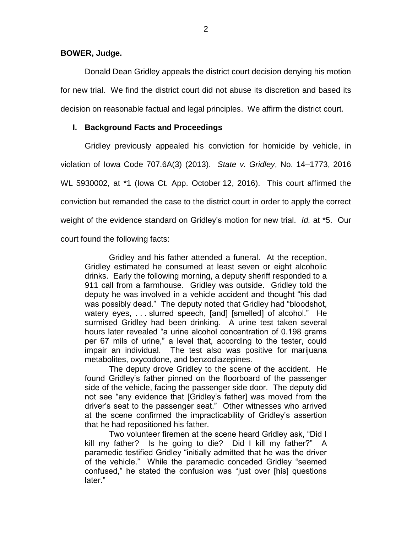**BOWER, Judge.**

Donald Dean Gridley appeals the district court decision denying his motion for new trial. We find the district court did not abuse its discretion and based its decision on reasonable factual and legal principles. We affirm the district court.

## **I. Background Facts and Proceedings**

Gridley previously appealed his conviction for homicide by vehicle, in violation of Iowa Code 707.6A(3) (2013). *State v. Gridley*, No. 14–1773, 2016 WL 5930002, at \*1 (Iowa Ct. App. October 12, 2016). This court affirmed the conviction but remanded the case to the district court in order to apply the correct weight of the evidence standard on Gridley's motion for new trial. *Id.* at \*5. Our court found the following facts:

Gridley and his father attended a funeral. At the reception, Gridley estimated he consumed at least seven or eight alcoholic drinks. Early the following morning, a deputy sheriff responded to a 911 call from a farmhouse. Gridley was outside. Gridley told the deputy he was involved in a vehicle accident and thought "his dad was possibly dead." The deputy noted that Gridley had "bloodshot, watery eyes, . . . slurred speech, [and] [smelled] of alcohol." He surmised Gridley had been drinking. A urine test taken several hours later revealed "a urine alcohol concentration of 0.198 grams per 67 mils of urine," a level that, according to the tester, could impair an individual. The test also was positive for marijuana metabolites, oxycodone, and benzodiazepines.

The deputy drove Gridley to the scene of the accident. He found Gridley's father pinned on the floorboard of the passenger side of the vehicle, facing the passenger side door. The deputy did not see "any evidence that [Gridley's father] was moved from the driver's seat to the passenger seat." Other witnesses who arrived at the scene confirmed the impracticability of Gridley's assertion that he had repositioned his father.

Two volunteer firemen at the scene heard Gridley ask, "Did I kill my father? Is he going to die? Did I kill my father?" A paramedic testified Gridley "initially admitted that he was the driver of the vehicle." While the paramedic conceded Gridley "seemed confused," he stated the confusion was "just over [his] questions later."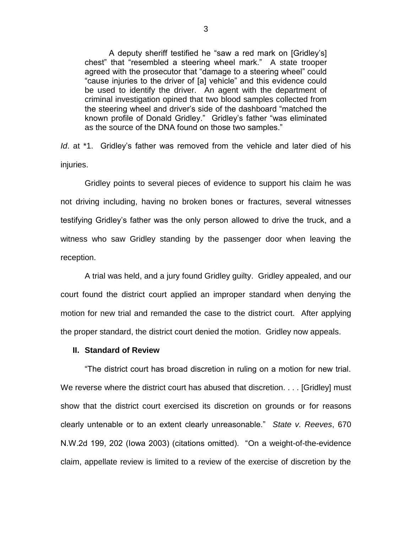A deputy sheriff testified he "saw a red mark on [Gridley's] chest" that "resembled a steering wheel mark." A state trooper agreed with the prosecutor that "damage to a steering wheel" could "cause injuries to the driver of [a] vehicle" and this evidence could be used to identify the driver. An agent with the department of criminal investigation opined that two blood samples collected from the steering wheel and driver's side of the dashboard "matched the known profile of Donald Gridley." Gridley's father "was eliminated as the source of the DNA found on those two samples."

*Id*. at \*1. Gridley's father was removed from the vehicle and later died of his injuries.

Gridley points to several pieces of evidence to support his claim he was not driving including, having no broken bones or fractures, several witnesses testifying Gridley's father was the only person allowed to drive the truck, and a witness who saw Gridley standing by the passenger door when leaving the reception.

A trial was held, and a jury found Gridley guilty. Gridley appealed, and our court found the district court applied an improper standard when denying the motion for new trial and remanded the case to the district court. After applying the proper standard, the district court denied the motion. Gridley now appeals.

#### **II. Standard of Review**

"The district court has broad discretion in ruling on a motion for new trial. We reverse where the district court has abused that discretion. . . . [Gridley] must show that the district court exercised its discretion on grounds or for reasons clearly untenable or to an extent clearly unreasonable." *State v. Reeves*, 670 N.W.2d 199, 202 (Iowa 2003) (citations omitted). "On a weight-of-the-evidence claim, appellate review is limited to a review of the exercise of discretion by the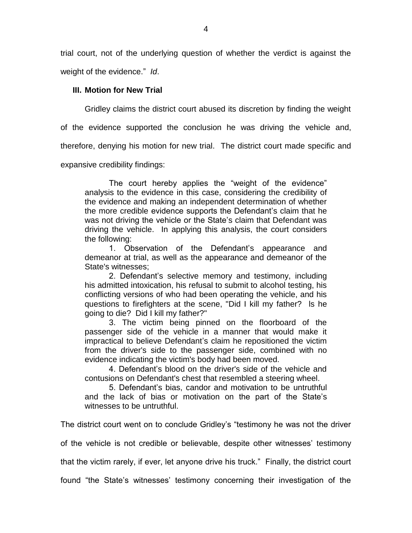trial court, not of the underlying question of whether the verdict is against the weight of the evidence." *Id*.

### **III. Motion for New Trial**

Gridley claims the district court abused its discretion by finding the weight

of the evidence supported the conclusion he was driving the vehicle and,

therefore, denying his motion for new trial. The district court made specific and

expansive credibility findings:

The court hereby applies the "weight of the evidence" analysis to the evidence in this case, considering the credibility of the evidence and making an independent determination of whether the more credible evidence supports the Defendant's claim that he was not driving the vehicle or the State's claim that Defendant was driving the vehicle. In applying this analysis, the court considers the following:

1. Observation of the Defendant's appearance and demeanor at trial, as well as the appearance and demeanor of the State's witnesses;

2. Defendant's selective memory and testimony, including his admitted intoxication, his refusal to submit to alcohol testing, his conflicting versions of who had been operating the vehicle, and his questions to firefighters at the scene, "Did I kill my father? ls he going to die? Did I kill my father?"

3. The victim being pinned on the floorboard of the passenger side of the vehicle in a manner that would make it impractical to believe Defendant's claim he repositioned the victim from the driver's side to the passenger side, combined with no evidence indicating the victim's body had been moved.

4. Defendant's blood on the driver's side of the vehicle and contusions on Defendant's chest that resembled a steering wheel.

5. Defendant's bias, candor and motivation to be untruthful and the lack of bias or motivation on the part of the State's witnesses to be untruthful.

The district court went on to conclude Gridley's "testimony he was not the driver

of the vehicle is not credible or believable, despite other witnesses' testimony

that the victim rarely, if ever, let anyone drive his truck." Finally, the district court

found "the State's witnesses' testimony concerning their investigation of the